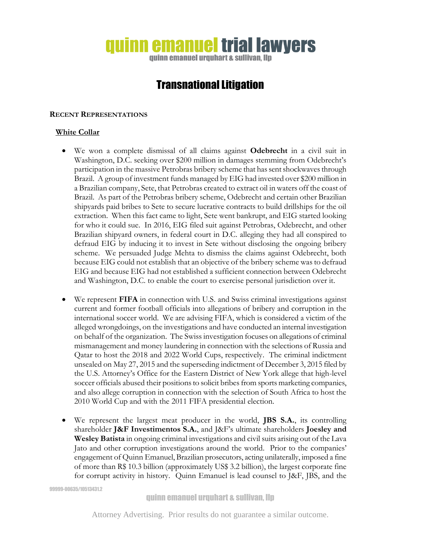# quinn emanuel trial lawyers

quinn emanuel urquhart & sullivan, llp

# Transnational Litigation

#### **RECENT REPRESENTATIONS**

# **White Collar**

- We won a complete dismissal of all claims against **Odebrecht** in a civil suit in Washington, D.C. seeking over \$200 million in damages stemming from Odebrecht's participation in the massive Petrobras bribery scheme that has sent shockwaves through Brazil. A group of investment funds managed by EIG had invested over \$200 million in a Brazilian company, Sete, that Petrobras created to extract oil in waters off the coast of Brazil. As part of the Petrobras bribery scheme, Odebrecht and certain other Brazilian shipyards paid bribes to Sete to secure lucrative contracts to build drillships for the oil extraction. When this fact came to light, Sete went bankrupt, and EIG started looking for who it could sue. In 2016, EIG filed suit against Petrobras, Odebrecht, and other Brazilian shipyard owners, in federal court in D.C. alleging they had all conspired to defraud EIG by inducing it to invest in Sete without disclosing the ongoing bribery scheme. We persuaded Judge Mehta to dismiss the claims against Odebrecht, both because EIG could not establish that an objective of the bribery scheme was to defraud EIG and because EIG had not established a sufficient connection between Odebrecht and Washington, D.C. to enable the court to exercise personal jurisdiction over it.
- We represent **FIFA** in connection with U.S. and Swiss criminal investigations against current and former football officials into allegations of bribery and corruption in the international soccer world. We are advising FIFA, which is considered a victim of the alleged wrongdoings, on the investigations and have conducted an internal investigation on behalf of the organization. The Swiss investigation focuses on allegations of criminal mismanagement and money laundering in connection with the selections of Russia and Qatar to host the 2018 and 2022 World Cups, respectively. The criminal indictment unsealed on May 27, 2015 and the superseding indictment of December 3, 2015 filed by the U.S. Attorney's Office for the Eastern District of New York allege that high-level soccer officials abused their positions to solicit bribes from sports marketing companies, and also allege corruption in connection with the selection of South Africa to host the 2010 World Cup and with the 2011 FIFA presidential election.
- We represent the largest meat producer in the world, **JBS S.A.**, its controlling shareholder **J&F Investimentos S.A.**, and J&F's ultimate shareholders **Joesley and Wesley Batista** in ongoing criminal investigations and civil suits arising out of the Lava Jato and other corruption investigations around the world. Prior to the companies' engagement of Quinn Emanuel, Brazilian prosecutors, acting unilaterally, imposed a fine of more than R\$ 10.3 billion (approximately US\$ 3.2 billion), the largest corporate fine for corrupt activity in history. Quinn Emanuel is lead counsel to J&F, JBS, and the

99999-00635/10513431.2

quinn emanuel urquhart & sullivan, llp

Attorney Advertising. Prior results do not guarantee a similar outcome.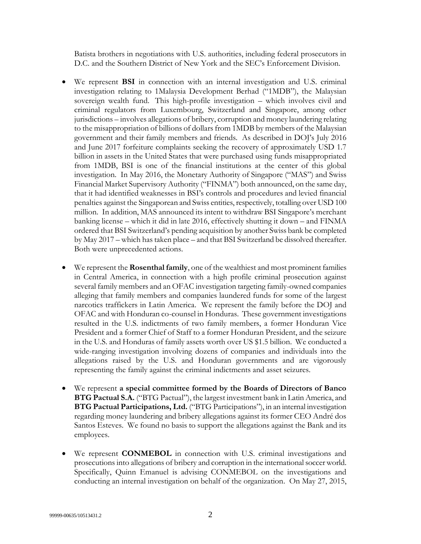Batista brothers in negotiations with U.S. authorities, including federal prosecutors in D.C. and the Southern District of New York and the SEC's Enforcement Division.

- We represent **BSI** in connection with an internal investigation and U.S. criminal investigation relating to 1Malaysia Development Berhad ("1MDB"), the Malaysian sovereign wealth fund. This high-profile investigation – which involves civil and criminal regulators from Luxembourg, Switzerland and Singapore, among other jurisdictions – involves allegations of bribery, corruption and money laundering relating to the misappropriation of billions of dollars from 1MDB by members of the Malaysian government and their family members and friends. As described in DOJ's July 2016 and June 2017 forfeiture complaints seeking the recovery of approximately USD 1.7 billion in assets in the United States that were purchased using funds misappropriated from 1MDB, BSI is one of the financial institutions at the center of this global investigation. In May 2016, the Monetary Authority of Singapore ("MAS") and Swiss Financial Market Supervisory Authority ("FINMA") both announced, on the same day, that it had identified weaknesses in BSI's controls and procedures and levied financial penalties against the Singaporean and Swiss entities, respectively, totalling over USD 100 million. In addition, MAS announced its intent to withdraw BSI Singapore's merchant banking license – which it did in late 2016, effectively shutting it down – and FINMA ordered that BSI Switzerland's pending acquisition by another Swiss bank be completed by May 2017 – which has taken place – and that BSI Switzerland be dissolved thereafter. Both were unprecedented actions.
- We represent the **Rosenthal family**, one of the wealthiest and most prominent families in Central America, in connection with a high profile criminal prosecution against several family members and an OFAC investigation targeting family-owned companies alleging that family members and companies laundered funds for some of the largest narcotics traffickers in Latin America. We represent the family before the DOJ and OFAC and with Honduran co-counsel in Honduras. These government investigations resulted in the U.S. indictments of two family members, a former Honduran Vice President and a former Chief of Staff to a former Honduran President, and the seizure in the U.S. and Honduras of family assets worth over US \$1.5 billion. We conducted a wide-ranging investigation involving dozens of companies and individuals into the allegations raised by the U.S. and Honduran governments and are vigorously representing the family against the criminal indictments and asset seizures.
- We represent **a special committee formed by the Boards of Directors of Banco BTG Pactual S.A.** ("BTG Pactual"), the largest investment bank in Latin America, and **BTG Pactual Participations, Ltd.** ("BTG Participations"), in an internal investigation regarding money laundering and bribery allegations against its former CEO André dos Santos Esteves. We found no basis to support the allegations against the Bank and its employees.
- We represent **CONMEBOL** in connection with U.S. criminal investigations and prosecutions into allegations of bribery and corruption in the international soccer world. Specifically, Quinn Emanuel is advising CONMEBOL on the investigations and conducting an internal investigation on behalf of the organization. On May 27, 2015,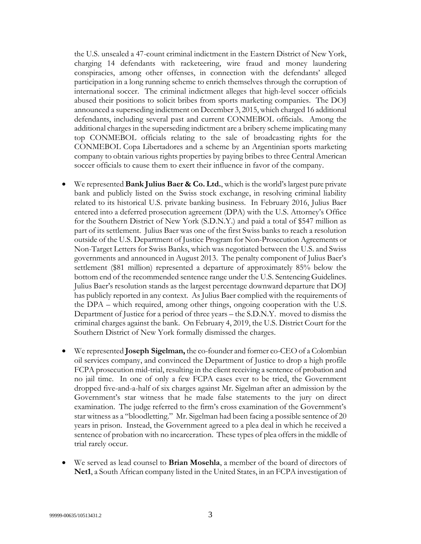the U.S. unsealed a 47-count criminal indictment in the Eastern District of New York, charging 14 defendants with racketeering, wire fraud and money laundering conspiracies, among other offenses, in connection with the defendants' alleged participation in a long running scheme to enrich themselves through the corruption of international soccer. The criminal indictment alleges that high-level soccer officials abused their positions to solicit bribes from sports marketing companies. The DOJ announced a superseding indictment on December 3, 2015, which charged 16 additional defendants, including several past and current CONMEBOL officials. Among the additional charges in the superseding indictment are a bribery scheme implicating many top CONMEBOL officials relating to the sale of broadcasting rights for the CONMEBOL Copa Libertadores and a scheme by an Argentinian sports marketing company to obtain various rights properties by paying bribes to three Central American soccer officials to cause them to exert their influence in favor of the company.

- We represented **Bank Julius Baer & Co. Ltd.**, which is the world's largest pure private bank and publicly listed on the Swiss stock exchange, in resolving criminal liability related to its historical U.S. private banking business. In February 2016, Julius Baer entered into a deferred prosecution agreement (DPA) with the U.S. Attorney's Office for the Southern District of New York (S.D.N.Y.) and paid a total of \$547 million as part of its settlement. Julius Baer was one of the first Swiss banks to reach a resolution outside of the U.S. Department of Justice Program for Non-Prosecution Agreements or Non-Target Letters for Swiss Banks, which was negotiated between the U.S. and Swiss governments and announced in August 2013. The penalty component of Julius Baer's settlement (\$81 million) represented a departure of approximately 85% below the bottom end of the recommended sentence range under the U.S. Sentencing Guidelines. Julius Baer's resolution stands as the largest percentage downward departure that DOJ has publicly reported in any context. As Julius Baer complied with the requirements of the DPA – which required, among other things, ongoing cooperation with the U.S. Department of Justice for a period of three years – the S.D.N.Y. moved to dismiss the criminal charges against the bank. On February 4, 2019, the U.S. District Court for the Southern District of New York formally dismissed the charges.
- We represented **Joseph Sigelman,** the co-founder and former co-CEO of a Colombian oil services company, and convinced the Department of Justice to drop a high profile FCPA prosecution mid-trial, resulting in the client receiving a sentence of probation and no jail time. In one of only a few FCPA cases ever to be tried, the Government dropped five-and-a-half of six charges against Mr. Sigelman after an admission by the Government's star witness that he made false statements to the jury on direct examination. The judge referred to the firm's cross examination of the Government's star witness as a "bloodletting." Mr. Sigelman had been facing a possible sentence of 20 years in prison. Instead, the Government agreed to a plea deal in which he received a sentence of probation with no incarceration. These types of plea offers in the middle of trial rarely occur.
- We served as lead counsel to **Brian Mosehla**, a member of the board of directors of **Net1**, a South African company listed in the United States, in an FCPA investigation of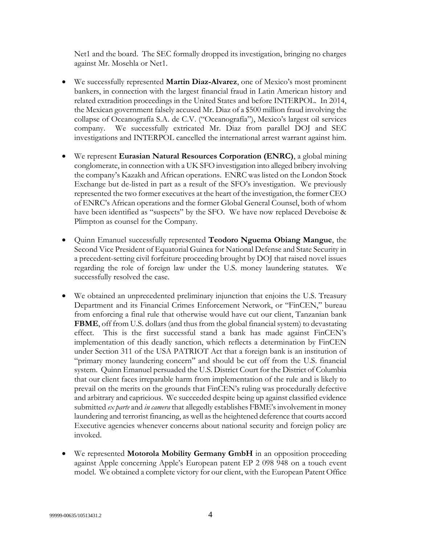Net1 and the board. The SEC formally dropped its investigation, bringing no charges against Mr. Mosehla or Net1.

- We successfully represented **Martin Diaz-Alvarez**, one of Mexico's most prominent bankers, in connection with the largest financial fraud in Latin American history and related extradition proceedings in the United States and before INTERPOL. In 2014, the Mexican government falsely accused Mr. Diaz of a \$500 million fraud involving the collapse of Oceanografía S.A. de C.V. ("Oceanografía"), Mexico's largest oil services company. We successfully extricated Mr. Diaz from parallel DOJ and SEC investigations and INTERPOL cancelled the international arrest warrant against him.
- We represent **Eurasian Natural Resources Corporation (ENRC)**, a global mining conglomerate, in connection with a UK SFO investigation into alleged bribery involving the company's Kazakh and African operations. ENRC was listed on the London Stock Exchange but de-listed in part as a result of the SFO's investigation. We previously represented the two former executives at the heart of the investigation, the former CEO of ENRC's African operations and the former Global General Counsel, both of whom have been identified as "suspects" by the SFO. We have now replaced Deveboise & Plimpton as counsel for the Company.
- Quinn Emanuel successfully represented **Teodoro Nguema Obiang Mangue**, the Second Vice President of Equatorial Guinea for National Defense and State Security in a precedent-setting civil forfeiture proceeding brought by DOJ that raised novel issues regarding the role of foreign law under the U.S. money laundering statutes. We successfully resolved the case.
- We obtained an unprecedented preliminary injunction that enjoins the U.S. Treasury Department and its Financial Crimes Enforcement Network, or "FinCEN," bureau from enforcing a final rule that otherwise would have cut our client, Tanzanian bank FBME, off from U.S. dollars (and thus from the global financial system) to devastating effect. This is the first successful stand a bank has made against FinCEN's implementation of this deadly sanction, which reflects a determination by FinCEN under Section 311 of the USA PATRIOT Act that a foreign bank is an institution of "primary money laundering concern" and should be cut off from the U.S. financial system. Quinn Emanuel persuaded the U.S. District Court for the District of Columbia that our client faces irreparable harm from implementation of the rule and is likely to prevail on the merits on the grounds that FinCEN's ruling was procedurally defective and arbitrary and capricious. We succeeded despite being up against classified evidence submitted *ex parte* and *in camera* that allegedly establishes FBME's involvement in money laundering and terrorist financing, as well as the heightened deference that courts accord Executive agencies whenever concerns about national security and foreign policy are invoked.
- We represented **Motorola Mobility Germany GmbH** in an opposition proceeding against Apple concerning Apple's European patent EP 2 098 948 on a touch event model. We obtained a complete victory for our client, with the European Patent Office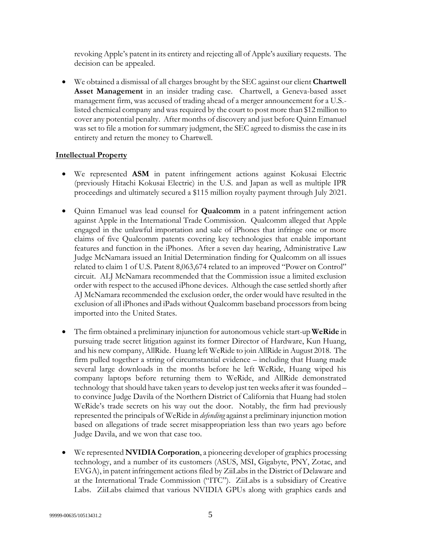revoking Apple's patent in its entirety and rejecting all of Apple's auxiliary requests. The decision can be appealed.

 We obtained a dismissal of all charges brought by the SEC against our client **Chartwell Asset Management** in an insider trading case. Chartwell, a Geneva-based asset management firm, was accused of trading ahead of a merger announcement for a U.S. listed chemical company and was required by the court to post more than \$12 million to cover any potential penalty. After months of discovery and just before Quinn Emanuel was set to file a motion for summary judgment, the SEC agreed to dismiss the case in its entirety and return the money to Chartwell.

# **Intellectual Property**

- We represented **ASM** in patent infringement actions against Kokusai Electric (previously Hitachi Kokusai Electric) in the U.S. and Japan as well as multiple IPR proceedings and ultimately secured a \$115 million royalty payment through July 2021.
- Quinn Emanuel was lead counsel for **Qualcomm** in a patent infringement action against Apple in the International Trade Commission. Qualcomm alleged that Apple engaged in the unlawful importation and sale of iPhones that infringe one or more claims of five Qualcomm patents covering key technologies that enable important features and function in the iPhones. After a seven day hearing, Administrative Law Judge McNamara issued an Initial Determination finding for Qualcomm on all issues related to claim 1 of U.S. Patent 8,063,674 related to an improved "Power on Control" circuit. ALJ McNamara recommended that the Commission issue a limited exclusion order with respect to the accused iPhone devices. Although the case settled shortly after AJ McNamara recommended the exclusion order, the order would have resulted in the exclusion of all iPhones and iPads without Qualcomm baseband processors from being imported into the United States.
- The firm obtained a preliminary injunction for autonomous vehicle start-up **WeRide** in pursuing trade secret litigation against its former Director of Hardware, Kun Huang, and his new company, AllRide. Huang left WeRide to join AllRide in August 2018. The firm pulled together a string of circumstantial evidence – including that Huang made several large downloads in the months before he left WeRide, Huang wiped his company laptops before returning them to WeRide, and AllRide demonstrated technology that should have taken years to develop just ten weeks after it was founded – to convince Judge Davila of the Northern District of California that Huang had stolen WeRide's trade secrets on his way out the door. Notably, the firm had previously represented the principals of WeRide in *defending* against a preliminary injunction motion based on allegations of trade secret misappropriation less than two years ago before Judge Davila, and we won that case too.
- We represented **NVIDIA Corporation**, a pioneering developer of graphics processing technology, and a number of its customers (ASUS, MSI, Gigabyte, PNY, Zotac, and EVGA), in patent infringement actions filed by ZiiLabs in the District of Delaware and at the International Trade Commission ("ITC"). ZiiLabs is a subsidiary of Creative Labs. ZiiLabs claimed that various NVIDIA GPUs along with graphics cards and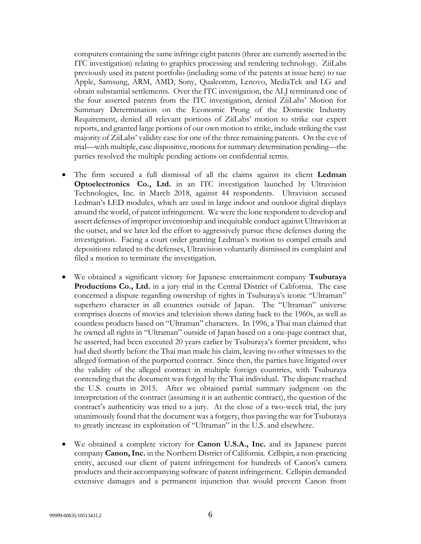computers containing the same infringe eight patents (three are currently asserted in the ITC investigation) relating to graphics processing and rendering technology. ZiiLabs previously used its patent portfolio (including some of the patents at issue here) to sue Apple, Samsung, ARM, AMD, Sony, Qualcomm, Lenovo, MediaTek and LG and obtain substantial settlements. Over the ITC investigation, the ALJ terminated one of the four asserted patents from the ITC investigation, denied ZiiLabs' Motion for Summary Determination on the Economic Prong of the Domestic Industry Requirement, denied all relevant portions of ZiiLabs' motion to strike our expert reports, and granted large portions of our own motion to strike, include striking the vast majority of ZiiLabs' validity case for one of the three remaining patents. On the eve of trial—with multiple, case dispositive, motions for summary determination pending—the parties resolved the multiple pending actions on confidential terms.

- The firm secured a full dismissal of all the claims against its client **Ledman Optoelectronics Co., Ltd.** in an ITC investigation launched by Ultravision Technologies, Inc. in March 2018, against 44 respondents. Ultravision accused Ledman's LED modules, which are used in large indoor and outdoor digital displays around the world, of patent infringement. We were the lone respondent to develop and assert defenses of improper inventorship and inequitable conduct against Ultravision at the outset, and we later led the effort to aggressively pursue these defenses during the investigation. Facing a court order granting Ledman's motion to compel emails and depositions related to the defenses, Ultravision voluntarily dismissed its complaint and filed a motion to terminate the investigation.
- We obtained a significant victory for Japanese entertainment company **Tsuburaya Productions Co., Ltd.** in a jury trial in the Central District of California. The case concerned a dispute regarding ownership of rights in Tsuburaya's iconic "Ultraman" superhero character in all countries outside of Japan. The "Ultraman" universe comprises dozens of movies and television shows dating back to the 1960s, as well as countless products based on "Ultraman" characters. In 1996, a Thai man claimed that he owned all rights in "Ultraman" outside of Japan based on a one-page contract that, he asserted, had been executed 20 years earlier by Tsuburaya's former president, who had died shortly before the Thai man made his claim, leaving no other witnesses to the alleged formation of the purported contract. Since then, the parties have litigated over the validity of the alleged contract in multiple foreign countries, with Tsuburaya contending that the document was forged by the Thai individual. The dispute reached the U.S. courts in 2015. After we obtained partial summary judgment on the interpretation of the contract (assuming it is an authentic contract), the question of the contract's authenticity was tried to a jury. At the close of a two-week trial, the jury unanimously found that the document was a forgery, thus paving the way for Tsuburaya to greatly increase its exploitation of "Ultraman" in the U.S. and elsewhere.
- We obtained a complete victory for **Canon U.S.A., Inc.** and its Japanese parent company **Canon, Inc.** in the Northern District of California. Cellspin, a non-practicing entity, accused our client of patent infringement for hundreds of Canon's camera products and their accompanying software of patent infringement. Cellspin demanded extensive damages and a permanent injunction that would prevent Canon from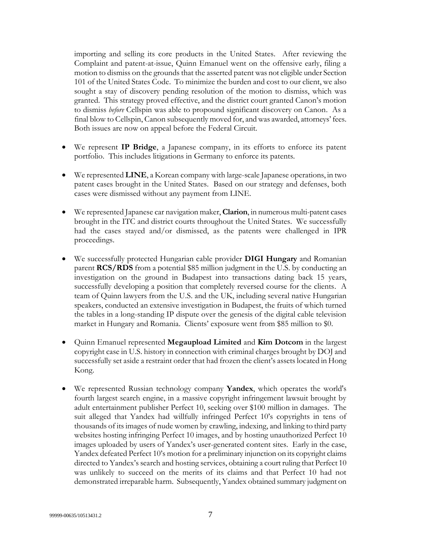importing and selling its core products in the United States. After reviewing the Complaint and patent-at-issue, Quinn Emanuel went on the offensive early, filing a motion to dismiss on the grounds that the asserted patent was not eligible under Section 101 of the United States Code. To minimize the burden and cost to our client, we also sought a stay of discovery pending resolution of the motion to dismiss, which was granted. This strategy proved effective, and the district court granted Canon's motion to dismiss *before* Cellspin was able to propound significant discovery on Canon. As a final blow to Cellspin, Canon subsequently moved for, and was awarded, attorneys' fees. Both issues are now on appeal before the Federal Circuit.

- We represent **IP Bridge**, a Japanese company, in its efforts to enforce its patent portfolio. This includes litigations in Germany to enforce its patents.
- We represented **LINE**, a Korean company with large-scale Japanese operations, in two patent cases brought in the United States. Based on our strategy and defenses, both cases were dismissed without any payment from LINE.
- We represented Japanese car navigation maker, **Clarion**, in numerous multi-patent cases brought in the ITC and district courts throughout the United States. We successfully had the cases stayed and/or dismissed, as the patents were challenged in IPR proceedings.
- We successfully protected Hungarian cable provider **DIGI Hungary** and Romanian parent **RCS/RDS** from a potential \$85 million judgment in the U.S. by conducting an investigation on the ground in Budapest into transactions dating back 15 years, successfully developing a position that completely reversed course for the clients. A team of Quinn lawyers from the U.S. and the UK, including several native Hungarian speakers, conducted an extensive investigation in Budapest, the fruits of which turned the tables in a long-standing IP dispute over the genesis of the digital cable television market in Hungary and Romania. Clients' exposure went from \$85 million to \$0.
- Quinn Emanuel represented **Megaupload Limited** and **Kim Dotcom** in the largest copyright case in U.S. history in connection with criminal charges brought by DOJ and successfully set aside a restraint order that had frozen the client's assets located in Hong Kong.
- We represented Russian technology company **Yandex**, which operates the world's fourth largest search engine, in a massive copyright infringement lawsuit brought by adult entertainment publisher Perfect 10, seeking over \$100 million in damages. The suit alleged that Yandex had willfully infringed Perfect 10's copyrights in tens of thousands of its images of nude women by crawling, indexing, and linking to third party websites hosting infringing Perfect 10 images, and by hosting unauthorized Perfect 10 images uploaded by users of Yandex's user-generated content sites. Early in the case, Yandex defeated Perfect 10's motion for a preliminary injunction on its copyright claims directed to Yandex's search and hosting services, obtaining a court ruling that Perfect 10 was unlikely to succeed on the merits of its claims and that Perfect 10 had not demonstrated irreparable harm. Subsequently, Yandex obtained summary judgment on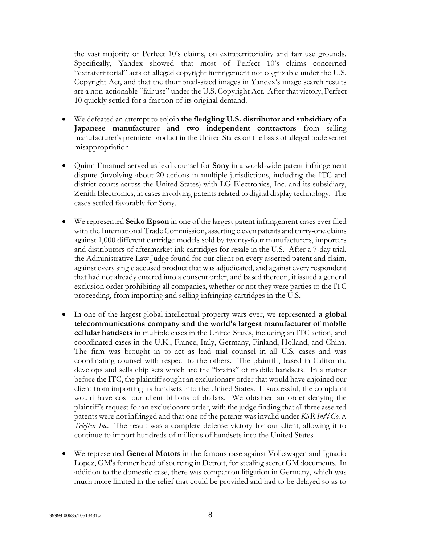the vast majority of Perfect 10's claims, on extraterritoriality and fair use grounds. Specifically, Yandex showed that most of Perfect 10's claims concerned "extraterritorial" acts of alleged copyright infringement not cognizable under the U.S. Copyright Act, and that the thumbnail-sized images in Yandex's image search results are a non-actionable "fair use" under the U.S. Copyright Act. After that victory, Perfect 10 quickly settled for a fraction of its original demand.

- We defeated an attempt to enjoin **the fledgling U.S. distributor and subsidiary of a Japanese manufacturer and two independent contractors** from selling manufacturer's premiere product in the United States on the basis of alleged trade secret misappropriation.
- Quinn Emanuel served as lead counsel for **Sony** in a world-wide patent infringement dispute (involving about 20 actions in multiple jurisdictions, including the ITC and district courts across the United States) with LG Electronics, Inc. and its subsidiary, Zenith Electronics, in cases involving patents related to digital display technology. The cases settled favorably for Sony.
- We represented **Seiko Epson** in one of the largest patent infringement cases ever filed with the International Trade Commission, asserting eleven patents and thirty-one claims against 1,000 different cartridge models sold by twenty-four manufacturers, importers and distributors of aftermarket ink cartridges for resale in the U.S. After a 7-day trial, the Administrative Law Judge found for our client on every asserted patent and claim, against every single accused product that was adjudicated, and against every respondent that had not already entered into a consent order, and based thereon, it issued a general exclusion order prohibiting all companies, whether or not they were parties to the ITC proceeding, from importing and selling infringing cartridges in the U.S.
- In one of the largest global intellectual property wars ever, we represented **a global telecommunications company and the world's largest manufacturer of mobile cellular handsets** in multiple cases in the United States, including an ITC action, and coordinated cases in the U.K., France, Italy, Germany, Finland, Holland, and China. The firm was brought in to act as lead trial counsel in all U.S. cases and was coordinating counsel with respect to the others. The plaintiff, based in California, develops and sells chip sets which are the "brains" of mobile handsets. In a matter before the ITC, the plaintiff sought an exclusionary order that would have enjoined our client from importing its handsets into the United States. If successful, the complaint would have cost our client billions of dollars. We obtained an order denying the plaintiff's request for an exclusionary order, with the judge finding that all three asserted patents were not infringed and that one of the patents was invalid under *KSR Int'l Co. v. Teleflex Inc*. The result was a complete defense victory for our client, allowing it to continue to import hundreds of millions of handsets into the United States.
- We represented **General Motors** in the famous case against Volkswagen and Ignacio Lopez, GM's former head of sourcing in Detroit, for stealing secret GM documents. In addition to the domestic case, there was companion litigation in Germany, which was much more limited in the relief that could be provided and had to be delayed so as to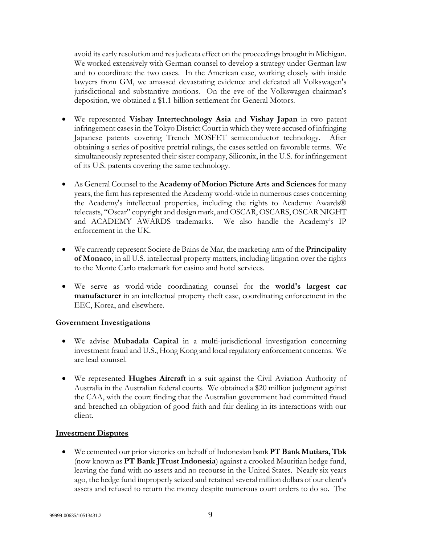avoid its early resolution and res judicata effect on the proceedings brought in Michigan. We worked extensively with German counsel to develop a strategy under German law and to coordinate the two cases. In the American case, working closely with inside lawyers from GM, we amassed devastating evidence and defeated all Volkswagen's jurisdictional and substantive motions. On the eve of the Volkswagen chairman's deposition, we obtained a \$1.1 billion settlement for General Motors.

- We represented **Vishay Intertechnology Asia** and **Vishay Japan** in two patent infringement cases in the Tokyo District Court in which they were accused of infringing Japanese patents covering Trench MOSFET semiconductor technology. After obtaining a series of positive pretrial rulings, the cases settled on favorable terms. We simultaneously represented their sister company, Siliconix, in the U.S. for infringement of its U.S. patents covering the same technology.
- As General Counsel to the **Academy of Motion Picture Arts and Sciences** for many years, the firm has represented the Academy world-wide in numerous cases concerning the Academy's intellectual properties, including the rights to Academy Awards® telecasts, "Oscar" copyright and design mark, and OSCAR, OSCARS, OSCAR NIGHT and ACADEMY AWARDS trademarks. We also handle the Academy's IP enforcement in the UK.
- We currently represent Societe de Bains de Mar, the marketing arm of the **Principality of Monaco**, in all U.S. intellectual property matters, including litigation over the rights to the Monte Carlo trademark for casino and hotel services.
- We serve as world-wide coordinating counsel for the **world's largest car manufacturer** in an intellectual property theft case, coordinating enforcement in the EEC, Korea, and elsewhere.

# **Government Investigations**

- We advise **Mubadala Capital** in a multi-jurisdictional investigation concerning investment fraud and U.S., Hong Kong and local regulatory enforcement concerns. We are lead counsel.
- We represented **Hughes Aircraft** in a suit against the Civil Aviation Authority of Australia in the Australian federal courts. We obtained a \$20 million judgment against the CAA, with the court finding that the Australian government had committed fraud and breached an obligation of good faith and fair dealing in its interactions with our client.

#### **Investment Disputes**

 We cemented our prior victories on behalf of Indonesian bank **PT Bank Mutiara, Tbk** (now known as **PT Bank JTrust Indonesia**) against a crooked Mauritian hedge fund, leaving the fund with no assets and no recourse in the United States. Nearly six years ago, the hedge fund improperly seized and retained several million dollars of our client's assets and refused to return the money despite numerous court orders to do so. The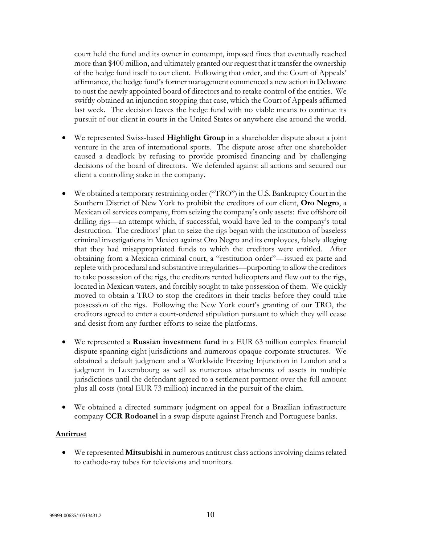court held the fund and its owner in contempt, imposed fines that eventually reached more than \$400 million, and ultimately granted our request that it transfer the ownership of the hedge fund itself to our client. Following that order, and the Court of Appeals' affirmance, the hedge fund's former management commenced a new action in Delaware to oust the newly appointed board of directors and to retake control of the entities. We swiftly obtained an injunction stopping that case, which the Court of Appeals affirmed last week. The decision leaves the hedge fund with no viable means to continue its pursuit of our client in courts in the United States or anywhere else around the world.

- We represented Swiss-based **Highlight Group** in a shareholder dispute about a joint venture in the area of international sports. The dispute arose after one shareholder caused a deadlock by refusing to provide promised financing and by challenging decisions of the board of directors. We defended against all actions and secured our client a controlling stake in the company.
- We obtained a temporary restraining order ("TRO") in the U.S. Bankruptcy Court in the Southern District of New York to prohibit the creditors of our client, **Oro Negro**, a Mexican oil services company, from seizing the company's only assets: five offshore oil drilling rigs—an attempt which, if successful, would have led to the company's total destruction. The creditors' plan to seize the rigs began with the institution of baseless criminal investigations in Mexico against Oro Negro and its employees, falsely alleging that they had misappropriated funds to which the creditors were entitled. After obtaining from a Mexican criminal court, a "restitution order"—issued ex parte and replete with procedural and substantive irregularities—purporting to allow the creditors to take possession of the rigs, the creditors rented helicopters and flew out to the rigs, located in Mexican waters, and forcibly sought to take possession of them. We quickly moved to obtain a TRO to stop the creditors in their tracks before they could take possession of the rigs. Following the New York court's granting of our TRO, the creditors agreed to enter a court-ordered stipulation pursuant to which they will cease and desist from any further efforts to seize the platforms.
- We represented a **Russian investment fund** in a EUR 63 million complex financial dispute spanning eight jurisdictions and numerous opaque corporate structures. We obtained a default judgment and a Worldwide Freezing Injunction in London and a judgment in Luxembourg as well as numerous attachments of assets in multiple jurisdictions until the defendant agreed to a settlement payment over the full amount plus all costs (total EUR 73 million) incurred in the pursuit of the claim.
- We obtained a directed summary judgment on appeal for a Brazilian infrastructure company **CCR Rodoanel** in a swap dispute against French and Portuguese banks.

# **Antitrust**

 We represented **Mitsubishi** in numerous antitrust class actions involving claims related to cathode-ray tubes for televisions and monitors.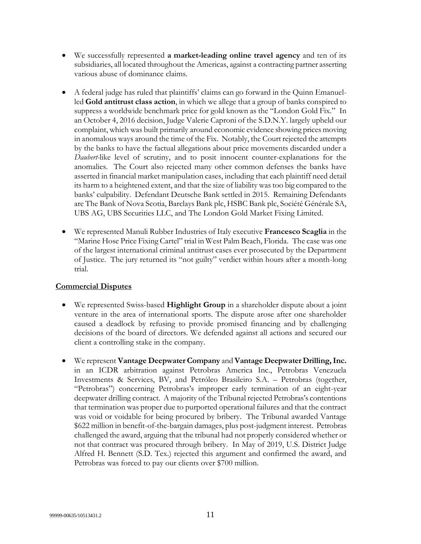- We successfully represented **a market-leading online travel agency** and ten of its subsidiaries, all located throughout the Americas, against a contracting partner asserting various abuse of dominance claims.
- A federal judge has ruled that plaintiffs' claims can go forward in the Quinn Emanuelled **Gold antitrust class action**, in which we allege that a group of banks conspired to suppress a worldwide benchmark price for gold known as the "London Gold Fix." In an October 4, 2016 decision, Judge Valerie Caproni of the S.D.N.Y. largely upheld our complaint, which was built primarily around economic evidence showing prices moving in anomalous ways around the time of the Fix. Notably, the Court rejected the attempts by the banks to have the factual allegations about price movements discarded under a *Daubert-*like level of scrutiny, and to posit innocent counter-explanations for the anomalies. The Court also rejected many other common defenses the banks have asserted in financial market manipulation cases, including that each plaintiff need detail its harm to a heightened extent, and that the size of liability was too big compared to the banks' culpability. Defendant Deutsche Bank settled in 2015. Remaining Defendants are The Bank of Nova Scotia, Barclays Bank plc, HSBC Bank plc, Société Générale SA, UBS AG, UBS Securities LLC, and The London Gold Market Fixing Limited.
- We represented Manuli Rubber Industries of Italy executive **Francesco Scaglia** in the "Marine Hose Price Fixing Cartel" trial in West Palm Beach, Florida. The case was one of the largest international criminal antitrust cases ever prosecuted by the Department of Justice. The jury returned its "not guilty" verdict within hours after a month-long trial.

# **Commercial Disputes**

- We represented Swiss-based **Highlight Group** in a shareholder dispute about a joint venture in the area of international sports. The dispute arose after one shareholder caused a deadlock by refusing to provide promised financing and by challenging decisions of the board of directors. We defended against all actions and secured our client a controlling stake in the company.
- We represent **Vantage Deepwater Company** and **Vantage Deepwater Drilling, Inc.**  in an ICDR arbitration against Petrobras America Inc., Petrobras Venezuela Investments & Services, BV, and Petróleo Brasileiro S.A. – Petrobras (together, "Petrobras") concerning Petrobras's improper early termination of an eight-year deepwater drilling contract. A majority of the Tribunal rejected Petrobras's contentions that termination was proper due to purported operational failures and that the contract was void or voidable for being procured by bribery. The Tribunal awarded Vantage \$622 million in benefit-of-the-bargain damages, plus post-judgment interest. Petrobras challenged the award, arguing that the tribunal had not properly considered whether or not that contract was procured through bribery. In May of 2019, U.S. District Judge Alfred H. Bennett (S.D. Tex.) rejected this argument and confirmed the award, and Petrobras was forced to pay our clients over \$700 million.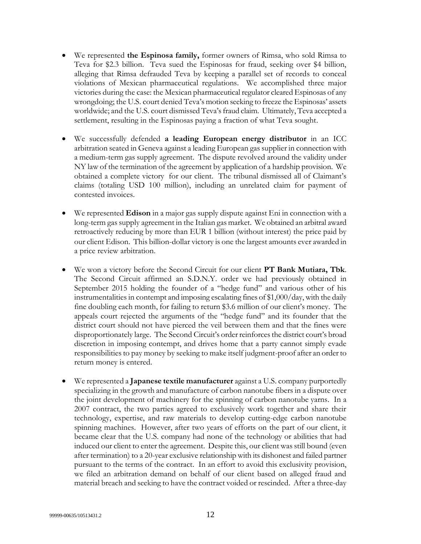- We represented **the Espinosa family,** former owners of Rimsa, who sold Rimsa to Teva for \$2.3 billion. Teva sued the Espinosas for fraud, seeking over \$4 billion, alleging that Rimsa defrauded Teva by keeping a parallel set of records to conceal violations of Mexican pharmaceutical regulations. We accomplished three major victories during the case: the Mexican pharmaceutical regulator cleared Espinosas of any wrongdoing; the U.S. court denied Teva's motion seeking to freeze the Espinosas' assets worldwide; and the U.S. court dismissed Teva's fraud claim. Ultimately, Teva accepted a settlement, resulting in the Espinosas paying a fraction of what Teva sought.
- We successfully defended **a leading European energy distributor** in an ICC arbitration seated in Geneva against a leading European gas supplier in connection with a medium-term gas supply agreement. The dispute revolved around the validity under NY law of the termination of the agreement by application of a hardship provision. We obtained a complete victory for our client. The tribunal dismissed all of Claimant's claims (totaling USD 100 million), including an unrelated claim for payment of contested invoices.
- We represented **Edison** in a major gas supply dispute against Eni in connection with a long-term gas supply agreement in the Italian gas market. We obtained an arbitral award retroactively reducing by more than EUR 1 billion (without interest) the price paid by our client Edison. This billion-dollar victory is one the largest amounts ever awarded in a price review arbitration.
- We won a victory before the Second Circuit for our client **PT Bank Mutiara, Tbk**. The Second Circuit affirmed an S.D.N.Y. order we had previously obtained in September 2015 holding the founder of a "hedge fund" and various other of his instrumentalities in contempt and imposing escalating fines of \$1,000/day, with the daily fine doubling each month, for failing to return \$3.6 million of our client's money. The appeals court rejected the arguments of the "hedge fund" and its founder that the district court should not have pierced the veil between them and that the fines were disproportionately large. The Second Circuit's order reinforces the district court's broad discretion in imposing contempt, and drives home that a party cannot simply evade responsibilities to pay money by seeking to make itself judgment-proof after an order to return money is entered.
- We represented a **Japanese textile manufacturer** against a U.S. company purportedly specializing in the growth and manufacture of carbon nanotube fibers in a dispute over the joint development of machinery for the spinning of carbon nanotube yarns. In a 2007 contract, the two parties agreed to exclusively work together and share their technology, expertise, and raw materials to develop cutting-edge carbon nanotube spinning machines. However, after two years of efforts on the part of our client, it became clear that the U.S. company had none of the technology or abilities that had induced our client to enter the agreement. Despite this, our client was still bound (even after termination) to a 20-year exclusive relationship with its dishonest and failed partner pursuant to the terms of the contract. In an effort to avoid this exclusivity provision, we filed an arbitration demand on behalf of our client based on alleged fraud and material breach and seeking to have the contract voided or rescinded. After a three-day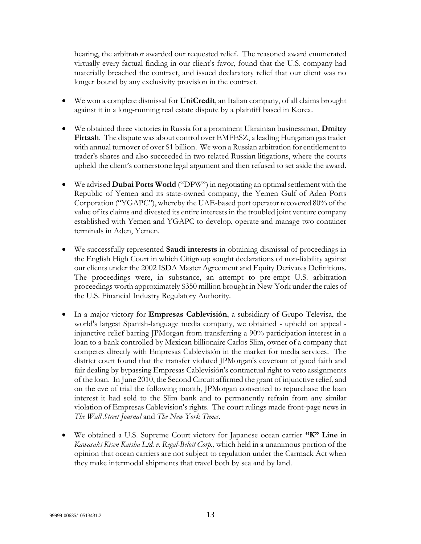hearing, the arbitrator awarded our requested relief. The reasoned award enumerated virtually every factual finding in our client's favor, found that the U.S. company had materially breached the contract, and issued declaratory relief that our client was no longer bound by any exclusivity provision in the contract.

- We won a complete dismissal for **UniCredit**, an Italian company, of all claims brought against it in a long-running real estate dispute by a plaintiff based in Korea.
- We obtained three victories in Russia for a prominent Ukrainian businessman, **Dmitry Firtash**. The dispute was about control over EMFESZ, a leading Hungarian gas trader with annual turnover of over \$1 billion. We won a Russian arbitration for entitlement to trader's shares and also succeeded in two related Russian litigations, where the courts upheld the client's cornerstone legal argument and then refused to set aside the award.
- We advised **Dubai Ports World** ("DPW") in negotiating an optimal settlement with the Republic of Yemen and its state-owned company, the Yemen Gulf of Aden Ports Corporation ("YGAPC"), whereby the UAE-based port operator recovered 80% of the value of its claims and divested its entire interests in the troubled joint venture company established with Yemen and YGAPC to develop, operate and manage two container terminals in Aden, Yemen.
- We successfully represented **Saudi interests** in obtaining dismissal of proceedings in the English High Court in which Citigroup sought declarations of non-liability against our clients under the 2002 ISDA Master Agreement and Equity Derivates Definitions. The proceedings were, in substance, an attempt to pre-empt U.S. arbitration proceedings worth approximately \$350 million brought in New York under the rules of the U.S. Financial Industry Regulatory Authority.
- In a major victory for **Empresas Cablevisión**, a subsidiary of Grupo Televisa, the world's largest Spanish-language media company, we obtained - upheld on appeal injunctive relief barring JPMorgan from transferring a 90% participation interest in a loan to a bank controlled by Mexican billionaire Carlos Slim, owner of a company that competes directly with Empresas Cablevisión in the market for media services. The district court found that the transfer violated JPMorgan's covenant of good faith and fair dealing by bypassing Empresas Cablevisión's contractual right to veto assignments of the loan. In June 2010, the Second Circuit affirmed the grant of injunctive relief, and on the eve of trial the following month, JPMorgan consented to repurchase the loan interest it had sold to the Slim bank and to permanently refrain from any similar violation of Empresas Cablevision's rights. The court rulings made front-page news in *The Wall Street Journal* and *The New York Times*.
- We obtained a U.S. Supreme Court victory for Japanese ocean carrier **"K" Line** in *Kawasaki Kisen Kaisha Ltd. v. Regal-Beloit Corp.*, which held in a unanimous portion of the opinion that ocean carriers are not subject to regulation under the Carmack Act when they make intermodal shipments that travel both by sea and by land.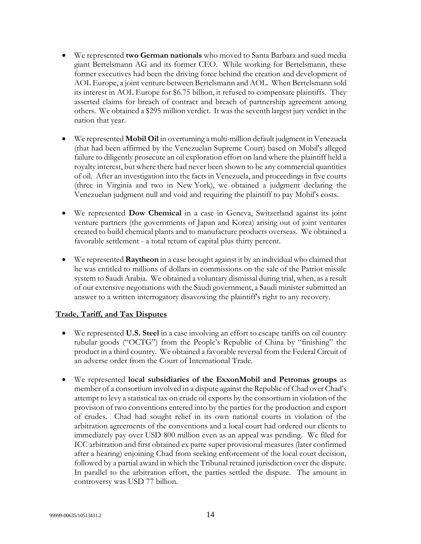- We represented **two German nationals** who moved to Santa Barbara and sued media giant Bertelsmann AG and its former CEO. While working for Bertelsmann, these former executives had been the driving force behind the creation and development of AOL Europe, a joint venture between Bertelsmann and AOL. When Bertelsmann sold its interest in AOL Europe for \$6.75 billion, it refused to compensate plaintiffs. They asserted claims for breach of contract and breach of partnership agreement among others. We obtained a \$295 million verdict. It was the seventh largest jury verdict in the nation that year.
- We represented **Mobil Oil** in overturning a multi-million default judgment in Venezuela (that had been affirmed by the Venezuelan Supreme Court) based on Mobil's alleged failure to diligently prosecute an oil exploration effort on land where the plaintiff held a royalty interest, but where there had never been shown to be any commercial quantities of oil. After an investigation into the facts in Venezuela, and proceedings in five courts (three in Virginia and two in New York), we obtained a judgment declaring the Venezuelan judgment null and void and requiring the plaintiff to pay Mobil's costs.
- We represented **Dow Chemical** in a case in Geneva, Switzerland against its joint venture partners (the governments of Japan and Korea) arising out of joint ventures created to build chemical plants and to manufacture products overseas. We obtained a favorable settlement - a total return of capital plus thirty percent.
- We represented **Raytheon** in a case brought against it by an individual who claimed that he was entitled to millions of dollars in commissions on the sale of the Patriot missile system to Saudi Arabia. We obtained a voluntary dismissal during trial, when, as a result of our extensive negotiations with the Saudi government, a Saudi minister submitted an answer to a written interrogatory disavowing the plaintiff's right to any recovery.

#### **Trade, Tariff, and Tax Disputes**

- We represented **U.S. Steel** in a case involving an effort to escape tariffs on oil country tubular goods ("OCTG") from the People's Republic of China by "finishing" the product in a third country. We obtained a favorable reversal from the Federal Circuit of an adverse order from the Court of International Trade.
- We represented **local subsidiaries of the ExxonMobil and Petronas groups** as member of a consortium involved in a dispute against the Republic of Chad over Chad's attempt to levy a statistical tax on crude oil exports by the consortium in violation of the provision of two conventions entered into by the parties for the production and export of crudes. Chad had sought relief in its own national courts in violation of the arbitration agreements of the conventions and a local court had ordered our clients to immediately pay over USD 800 million even as an appeal was pending. We filed for ICC arbitration and first obtained ex parte super provisional measures (later confirmed after a hearing) enjoining Chad from seeking enforcement of the local court decision, followed by a partial award in which the Tribunal retained jurisdiction over the dispute. In parallel to the arbitration effort, the parties settled the dispute. The amount in controversy was USD 77 billion.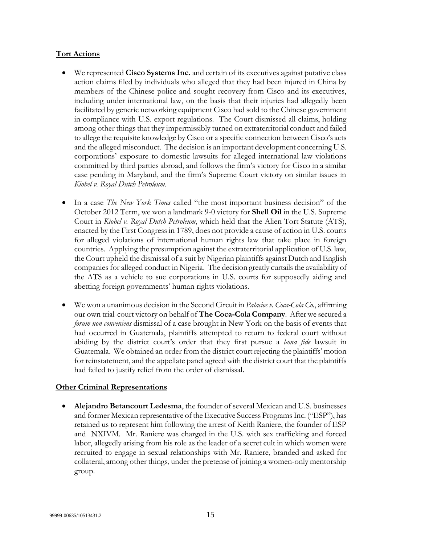#### **Tort Actions**

- We represented **Cisco Systems Inc.** and certain of its executives against putative class action claims filed by individuals who alleged that they had been injured in China by members of the Chinese police and sought recovery from Cisco and its executives, including under international law, on the basis that their injuries had allegedly been facilitated by generic networking equipment Cisco had sold to the Chinese government in compliance with U.S. export regulations. The Court dismissed all claims, holding among other things that they impermissibly turned on extraterritorial conduct and failed to allege the requisite knowledge by Cisco or a specific connection between Cisco's acts and the alleged misconduct. The decision is an important development concerning U.S. corporations' exposure to domestic lawsuits for alleged international law violations committed by third parties abroad, and follows the firm's victory for Cisco in a similar case pending in Maryland, and the firm's Supreme Court victory on similar issues in *Kiobel v. Royal Dutch Petroleum.*
- In a case *The New York Times* called "the most important business decision" of the October 2012 Term, we won a landmark 9-0 victory for **Shell Oil** in the U.S. Supreme Court in *Kiobel v. Royal Dutch Petroleum*, which held that the Alien Tort Statute (ATS), enacted by the First Congress in 1789, does not provide a cause of action in U.S. courts for alleged violations of international human rights law that take place in foreign countries. Applying the presumption against the extraterritorial application of U.S. law, the Court upheld the dismissal of a suit by Nigerian plaintiffs against Dutch and English companies for alleged conduct in Nigeria. The decision greatly curtails the availability of the ATS as a vehicle to sue corporations in U.S. courts for supposedly aiding and abetting foreign governments' human rights violations.
- We won a unanimous decision in the Second Circuit in *Palacios v. Coca-Cola Co.*, affirming our own trial-court victory on behalf of **The Coca-Cola Company**. After we secured a *forum non conveniens* dismissal of a case brought in New York on the basis of events that had occurred in Guatemala, plaintiffs attempted to return to federal court without abiding by the district court's order that they first pursue a *bona fide* lawsuit in Guatemala. We obtained an order from the district court rejecting the plaintiffs' motion for reinstatement, and the appellate panel agreed with the district court that the plaintiffs had failed to justify relief from the order of dismissal.

# **Other Criminal Representations**

 **Alejandro Betancourt Ledesma**, the founder of several Mexican and U.S. businesses and former Mexican representative of the Executive Success Programs Inc. ("ESP"), has retained us to represent him following the arrest of Keith Raniere, the founder of ESP and NXIVM. Mr. Raniere was charged in the U.S. with sex trafficking and forced labor, allegedly arising from his role as the leader of a secret cult in which women were recruited to engage in sexual relationships with Mr. Raniere, branded and asked for collateral, among other things, under the pretense of joining a women-only mentorship group.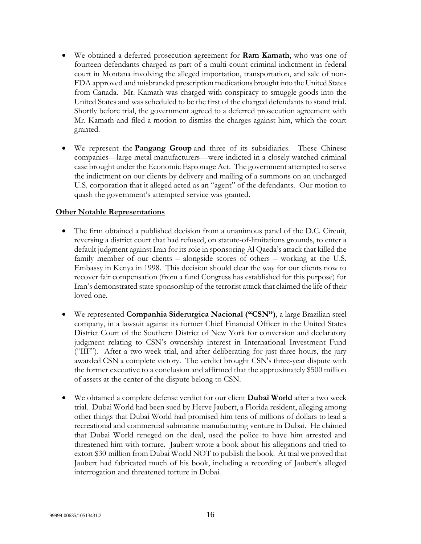- We obtained a deferred prosecution agreement for **Ram Kamath**, who was one of fourteen defendants charged as part of a multi-count criminal indictment in federal court in Montana involving the alleged importation, transportation, and sale of non-FDA approved and misbranded prescription medications brought into the United States from Canada. Mr. Kamath was charged with conspiracy to smuggle goods into the United States and was scheduled to be the first of the charged defendants to stand trial. Shortly before trial, the government agreed to a deferred prosecution agreement with Mr. Kamath and filed a motion to dismiss the charges against him, which the court granted.
- We represent the **Pangang Group** and three of its subsidiaries. These Chinese companies—large metal manufacturers—were indicted in a closely watched criminal case brought under the Economic Espionage Act. The government attempted to serve the indictment on our clients by delivery and mailing of a summons on an uncharged U.S. corporation that it alleged acted as an "agent" of the defendants. Our motion to quash the government's attempted service was granted.

#### **Other Notable Representations**

- The firm obtained a published decision from a unanimous panel of the D.C. Circuit, reversing a district court that had refused, on statute-of-limitations grounds, to enter a default judgment against Iran for its role in sponsoring Al Qaeda's attack that killed the family member of our clients – alongside scores of others – working at the U.S. Embassy in Kenya in 1998. This decision should clear the way for our clients now to recover fair compensation (from a fund Congress has established for this purpose) for Iran's demonstrated state sponsorship of the terrorist attack that claimed the life of their loved one.
- We represented **Companhia Siderurgica Nacional ("CSN")**, a large Brazilian steel company, in a lawsuit against its former Chief Financial Officer in the United States District Court of the Southern District of New York for conversion and declaratory judgment relating to CSN's ownership interest in International Investment Fund ("IIF"). After a two-week trial, and after deliberating for just three hours, the jury awarded CSN a complete victory. The verdict brought CSN's three-year dispute with the former executive to a conclusion and affirmed that the approximately \$500 million of assets at the center of the dispute belong to CSN.
- We obtained a complete defense verdict for our client **Dubai World** after a two week trial. Dubai World had been sued by Herve Jaubert, a Florida resident, alleging among other things that Dubai World had promised him tens of millions of dollars to lead a recreational and commercial submarine manufacturing venture in Dubai. He claimed that Dubai World reneged on the deal, used the police to have him arrested and threatened him with torture. Jaubert wrote a book about his allegations and tried to extort \$30 million from Dubai World NOT to publish the book. At trial we proved that Jaubert had fabricated much of his book, including a recording of Jaubert's alleged interrogation and threatened torture in Dubai.